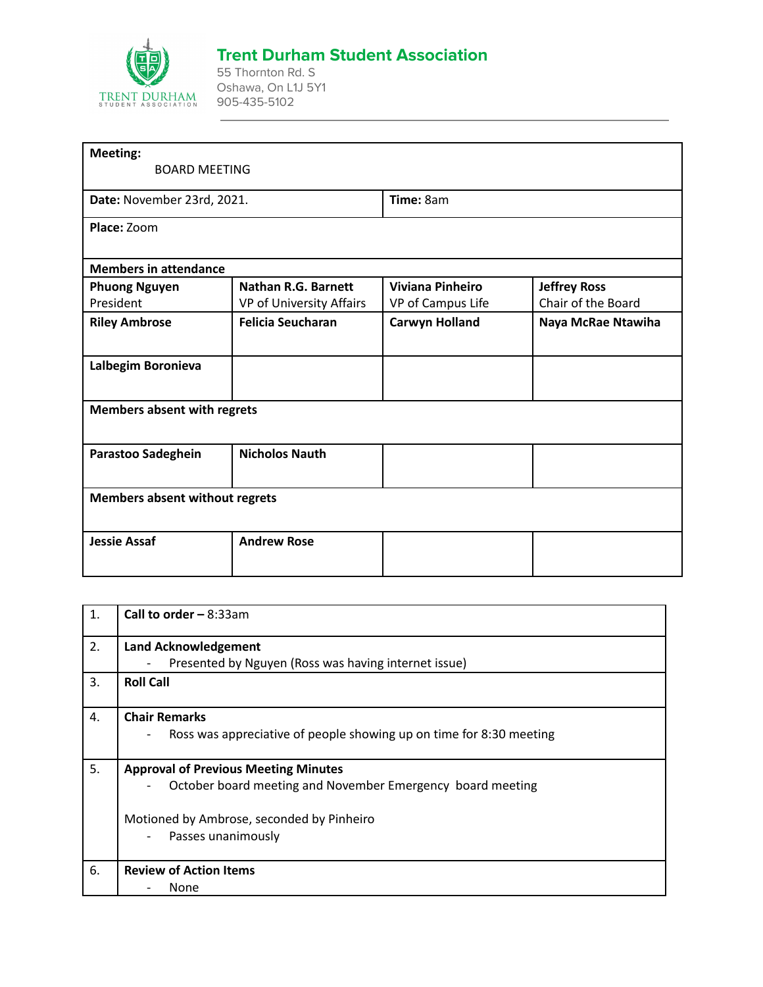

## **Trent Durham Student Association**

55 Thornton Rd. S Oshawa, On L1J 5Y1 905-435-5102

| <b>Meeting:</b>                       |                            |                         |                     |  |
|---------------------------------------|----------------------------|-------------------------|---------------------|--|
| <b>BOARD MEETING</b>                  |                            |                         |                     |  |
| Date: November 23rd, 2021.            |                            | Time: 8am               |                     |  |
| Place: Zoom                           |                            |                         |                     |  |
| <b>Members in attendance</b>          |                            |                         |                     |  |
| <b>Phuong Nguyen</b>                  | <b>Nathan R.G. Barnett</b> | <b>Viviana Pinheiro</b> | <b>Jeffrey Ross</b> |  |
| President                             | VP of University Affairs   | VP of Campus Life       | Chair of the Board  |  |
| <b>Riley Ambrose</b>                  | <b>Felicia Seucharan</b>   | <b>Carwyn Holland</b>   | Naya McRae Ntawiha  |  |
| Lalbegim Boronieva                    |                            |                         |                     |  |
| <b>Members absent with regrets</b>    |                            |                         |                     |  |
| Parastoo Sadeghein                    | <b>Nicholos Nauth</b>      |                         |                     |  |
| <b>Members absent without regrets</b> |                            |                         |                     |  |
| <b>Jessie Assaf</b>                   | <b>Andrew Rose</b>         |                         |                     |  |

| 1. | Call to order $-8:33am$                                                                                                                                                      |
|----|------------------------------------------------------------------------------------------------------------------------------------------------------------------------------|
| 2. | <b>Land Acknowledgement</b><br>Presented by Nguyen (Ross was having internet issue)                                                                                          |
| 3. | <b>Roll Call</b>                                                                                                                                                             |
| 4. | <b>Chair Remarks</b><br>Ross was appreciative of people showing up on time for 8:30 meeting                                                                                  |
| 5. | <b>Approval of Previous Meeting Minutes</b><br>October board meeting and November Emergency board meeting<br>Motioned by Ambrose, seconded by Pinheiro<br>Passes unanimously |
| 6. | <b>Review of Action Items</b><br>None                                                                                                                                        |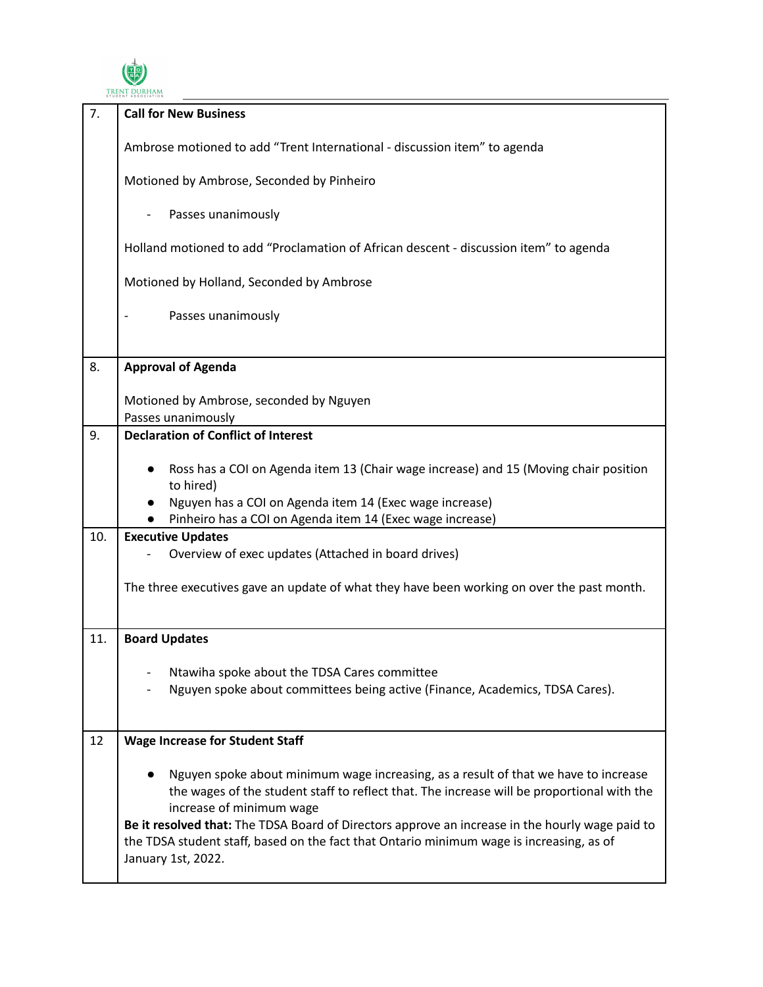

| 7.  | <b>Call for New Business</b>                                                                                                                                                                                                                                                                                                                                                                                                       |
|-----|------------------------------------------------------------------------------------------------------------------------------------------------------------------------------------------------------------------------------------------------------------------------------------------------------------------------------------------------------------------------------------------------------------------------------------|
|     | Ambrose motioned to add "Trent International - discussion item" to agenda                                                                                                                                                                                                                                                                                                                                                          |
|     | Motioned by Ambrose, Seconded by Pinheiro                                                                                                                                                                                                                                                                                                                                                                                          |
|     | Passes unanimously                                                                                                                                                                                                                                                                                                                                                                                                                 |
|     | Holland motioned to add "Proclamation of African descent - discussion item" to agenda                                                                                                                                                                                                                                                                                                                                              |
|     | Motioned by Holland, Seconded by Ambrose                                                                                                                                                                                                                                                                                                                                                                                           |
|     | Passes unanimously                                                                                                                                                                                                                                                                                                                                                                                                                 |
| 8.  | <b>Approval of Agenda</b>                                                                                                                                                                                                                                                                                                                                                                                                          |
|     | Motioned by Ambrose, seconded by Nguyen<br>Passes unanimously                                                                                                                                                                                                                                                                                                                                                                      |
| 9.  | <b>Declaration of Conflict of Interest</b>                                                                                                                                                                                                                                                                                                                                                                                         |
|     | Ross has a COI on Agenda item 13 (Chair wage increase) and 15 (Moving chair position<br>to hired)<br>Nguyen has a COI on Agenda item 14 (Exec wage increase)<br>Pinheiro has a COI on Agenda item 14 (Exec wage increase)                                                                                                                                                                                                          |
| 10. | <b>Executive Updates</b>                                                                                                                                                                                                                                                                                                                                                                                                           |
|     | Overview of exec updates (Attached in board drives)                                                                                                                                                                                                                                                                                                                                                                                |
|     | The three executives gave an update of what they have been working on over the past month.                                                                                                                                                                                                                                                                                                                                         |
| 11. | <b>Board Updates</b>                                                                                                                                                                                                                                                                                                                                                                                                               |
|     | Ntawiha spoke about the TDSA Cares committee<br>Nguyen spoke about committees being active (Finance, Academics, TDSA Cares).                                                                                                                                                                                                                                                                                                       |
| 12  | <b>Wage Increase for Student Staff</b>                                                                                                                                                                                                                                                                                                                                                                                             |
|     | Nguyen spoke about minimum wage increasing, as a result of that we have to increase<br>the wages of the student staff to reflect that. The increase will be proportional with the<br>increase of minimum wage<br>Be it resolved that: The TDSA Board of Directors approve an increase in the hourly wage paid to<br>the TDSA student staff, based on the fact that Ontario minimum wage is increasing, as of<br>January 1st, 2022. |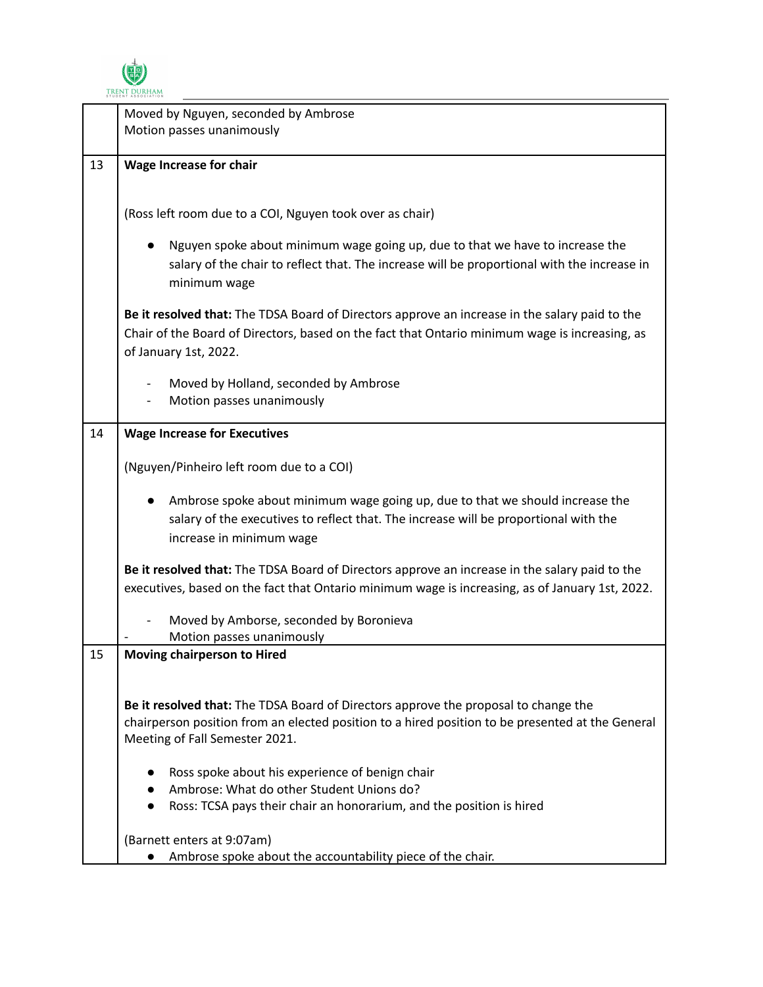

|    | Moved by Nguyen, seconded by Ambrose<br>Motion passes unanimously                                                                                                                                                         |
|----|---------------------------------------------------------------------------------------------------------------------------------------------------------------------------------------------------------------------------|
| 13 | <b>Wage Increase for chair</b>                                                                                                                                                                                            |
|    | (Ross left room due to a COI, Nguyen took over as chair)                                                                                                                                                                  |
|    | Nguyen spoke about minimum wage going up, due to that we have to increase the<br>salary of the chair to reflect that. The increase will be proportional with the increase in<br>minimum wage                              |
|    | Be it resolved that: The TDSA Board of Directors approve an increase in the salary paid to the<br>Chair of the Board of Directors, based on the fact that Ontario minimum wage is increasing, as<br>of January 1st, 2022. |
|    | Moved by Holland, seconded by Ambrose<br>Motion passes unanimously                                                                                                                                                        |
| 14 | <b>Wage Increase for Executives</b>                                                                                                                                                                                       |
|    | (Nguyen/Pinheiro left room due to a COI)                                                                                                                                                                                  |
|    | Ambrose spoke about minimum wage going up, due to that we should increase the<br>salary of the executives to reflect that. The increase will be proportional with the<br>increase in minimum wage                         |
|    | Be it resolved that: The TDSA Board of Directors approve an increase in the salary paid to the<br>executives, based on the fact that Ontario minimum wage is increasing, as of January 1st, 2022.                         |
|    | Moved by Amborse, seconded by Boronieva<br>Motion passes unanimously                                                                                                                                                      |
| 15 | <b>Moving chairperson to Hired</b>                                                                                                                                                                                        |
|    | Be it resolved that: The TDSA Board of Directors approve the proposal to change the<br>chairperson position from an elected position to a hired position to be presented at the General<br>Meeting of Fall Semester 2021. |
|    | Ross spoke about his experience of benign chair<br>Ambrose: What do other Student Unions do?<br>Ross: TCSA pays their chair an honorarium, and the position is hired                                                      |
|    | (Barnett enters at 9:07am)<br>Ambrose spoke about the accountability piece of the chair.                                                                                                                                  |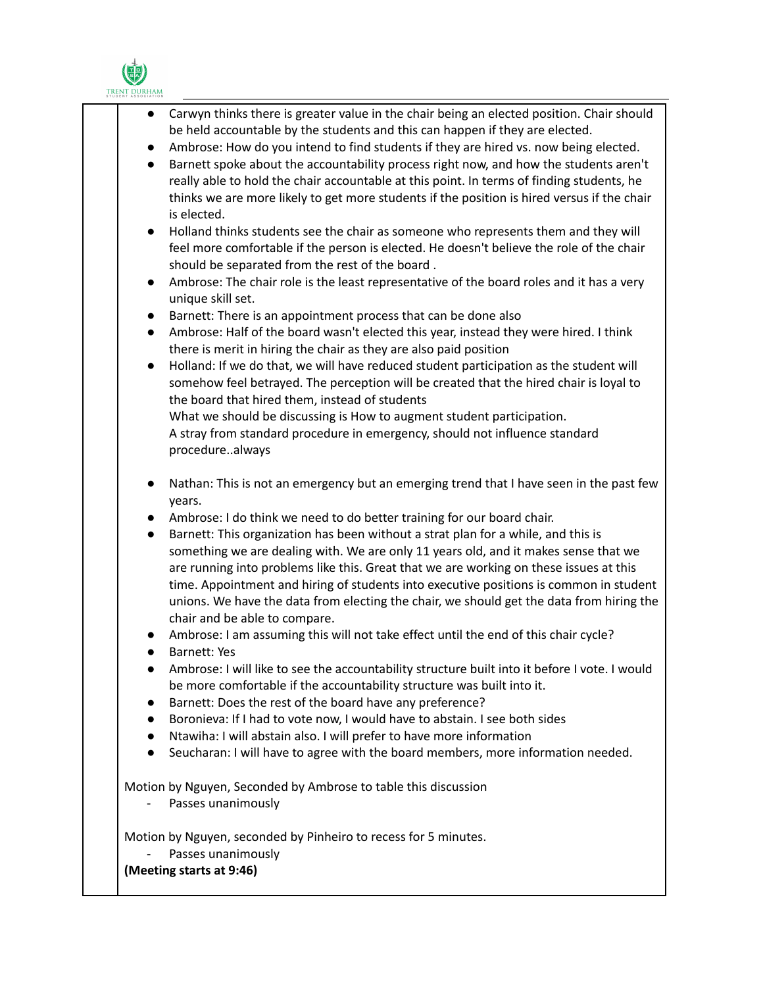

| Carwyn thinks there is greater value in the chair being an elected position. Chair should<br>be held accountable by the students and this can happen if they are elected.<br>Ambrose: How do you intend to find students if they are hired vs. now being elected.<br>$\bullet$<br>Barnett spoke about the accountability process right now, and how the students aren't<br>$\bullet$<br>really able to hold the chair accountable at this point. In terms of finding students, he<br>thinks we are more likely to get more students if the position is hired versus if the chair<br>is elected.<br>Holland thinks students see the chair as someone who represents them and they will<br>$\bullet$<br>feel more comfortable if the person is elected. He doesn't believe the role of the chair<br>should be separated from the rest of the board.<br>Ambrose: The chair role is the least representative of the board roles and it has a very<br>$\bullet$<br>unique skill set.<br>Barnett: There is an appointment process that can be done also<br>$\bullet$<br>Ambrose: Half of the board wasn't elected this year, instead they were hired. I think<br>$\bullet$<br>there is merit in hiring the chair as they are also paid position<br>Holland: If we do that, we will have reduced student participation as the student will<br>$\bullet$<br>somehow feel betrayed. The perception will be created that the hired chair is loyal to<br>the board that hired them, instead of students<br>What we should be discussing is How to augment student participation.<br>A stray from standard procedure in emergency, should not influence standard |
|------------------------------------------------------------------------------------------------------------------------------------------------------------------------------------------------------------------------------------------------------------------------------------------------------------------------------------------------------------------------------------------------------------------------------------------------------------------------------------------------------------------------------------------------------------------------------------------------------------------------------------------------------------------------------------------------------------------------------------------------------------------------------------------------------------------------------------------------------------------------------------------------------------------------------------------------------------------------------------------------------------------------------------------------------------------------------------------------------------------------------------------------------------------------------------------------------------------------------------------------------------------------------------------------------------------------------------------------------------------------------------------------------------------------------------------------------------------------------------------------------------------------------------------------------------------------------------------------------------------------------------------------------|
| procedurealways<br>Nathan: This is not an emergency but an emerging trend that I have seen in the past few<br>$\bullet$                                                                                                                                                                                                                                                                                                                                                                                                                                                                                                                                                                                                                                                                                                                                                                                                                                                                                                                                                                                                                                                                                                                                                                                                                                                                                                                                                                                                                                                                                                                              |
| years.                                                                                                                                                                                                                                                                                                                                                                                                                                                                                                                                                                                                                                                                                                                                                                                                                                                                                                                                                                                                                                                                                                                                                                                                                                                                                                                                                                                                                                                                                                                                                                                                                                               |
| Ambrose: I do think we need to do better training for our board chair.<br>$\bullet$<br>Barnett: This organization has been without a strat plan for a while, and this is<br>$\bullet$<br>something we are dealing with. We are only 11 years old, and it makes sense that we<br>are running into problems like this. Great that we are working on these issues at this<br>time. Appointment and hiring of students into executive positions is common in student<br>unions. We have the data from electing the chair, we should get the data from hiring the<br>chair and be able to compare.<br>Ambrose: I am assuming this will not take effect until the end of this chair cycle?<br>Barnett: Yes<br>Ambrose: I will like to see the accountability structure built into it before I vote. I would<br>be more comfortable if the accountability structure was built into it.<br>Barnett: Does the rest of the board have any preference?<br>Boronieva: If I had to vote now, I would have to abstain. I see both sides<br>Ntawiha: I will abstain also. I will prefer to have more information<br>Seucharan: I will have to agree with the board members, more information needed.<br>$\bullet$                                                                                                                                                                                                                                                                                                                                                                                                                                                   |
| Motion by Nguyen, Seconded by Ambrose to table this discussion<br>Passes unanimously                                                                                                                                                                                                                                                                                                                                                                                                                                                                                                                                                                                                                                                                                                                                                                                                                                                                                                                                                                                                                                                                                                                                                                                                                                                                                                                                                                                                                                                                                                                                                                 |
| Motion by Nguyen, seconded by Pinheiro to recess for 5 minutes.<br>Passes unanimously<br>(Meeting starts at 9:46)                                                                                                                                                                                                                                                                                                                                                                                                                                                                                                                                                                                                                                                                                                                                                                                                                                                                                                                                                                                                                                                                                                                                                                                                                                                                                                                                                                                                                                                                                                                                    |